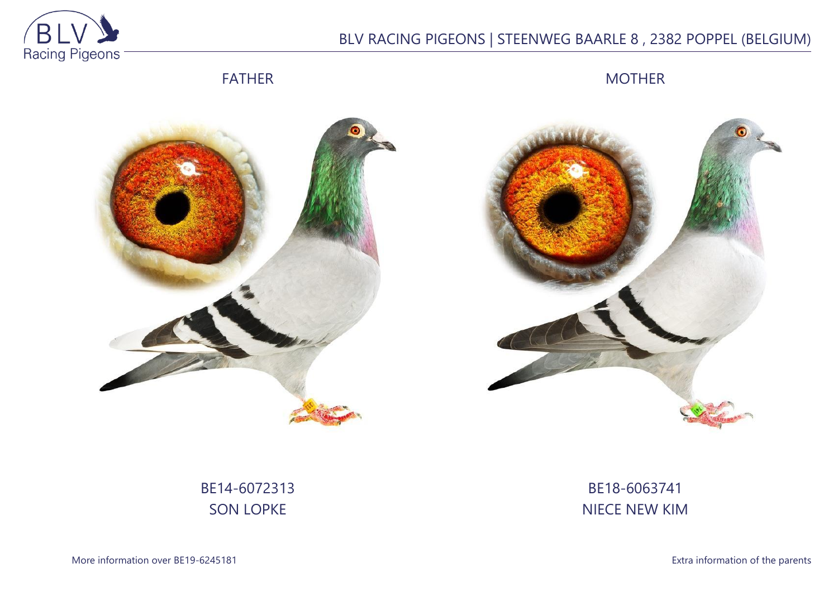

## BLV RACING PIGEONS | STEENWEG BAARLE 8 , 2382 POPPEL (BELGIUM)

FATHER

MOTHER





BE14-6072313 SON LOPKE

BE18-6063741 NIECE NEW KIM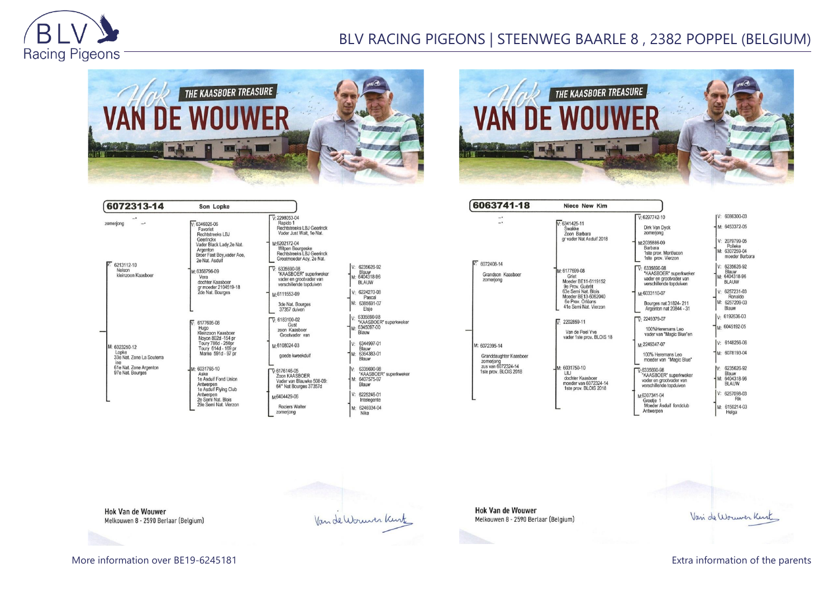

## BLV RACING PIGEONS | STEENWEG BAARLE 8 , 2382 POPPEL (BELGIUM)





| 6072313-14                                                                                               | Son Lopke                                                                                                                                                                                                                                                                                  |                                                                                                                                                                                                                                                                                                                                                    |                                                                                             |
|----------------------------------------------------------------------------------------------------------|--------------------------------------------------------------------------------------------------------------------------------------------------------------------------------------------------------------------------------------------------------------------------------------------|----------------------------------------------------------------------------------------------------------------------------------------------------------------------------------------------------------------------------------------------------------------------------------------------------------------------------------------------------|---------------------------------------------------------------------------------------------|
| zomeriona<br>6213112-10<br>Nelson<br>kleinzoon Kaasboer                                                  | $V.6346026-06$<br>Favoriet<br>Rechtstreeks LBJ<br>Geerinckx<br>Vader Black Lady, 2e Nat.<br>Argenton<br>Broer Fast Boy, vader Ace.<br>2e Nat. Asduif<br>M: 6358796-09<br>Vera<br>dochter Kaasboer<br>gr moeder 2104519-18<br>2de Nat. Bourges                                              | $V.2298053-04$<br>Rapido 1<br>Rechtstreeks LBJ Geerinck<br>Vader Just Wait, 1e Nat.<br>M-6202172-04<br>Witpen Bourgeske<br><b>Rechtstreeks LBJ Geerinck</b><br>Grootmoeder Acy, 2e Nat.<br>$\nabla 6335690-98$<br>"KAASBOER" superkweker<br>vader en grootvader van<br>verschillende topduiven<br>M-6111553-09<br>3de Nat. Bourges<br>37357 duiven | V: 6<br>E<br>M: 64<br>B<br>V: 6<br>M: 6                                                     |
| M: 6023250-12<br>Lopke<br>33e Nat. Zone La Souterra<br>ine<br>61e Nat. Zone Argenton<br>97e Nat. Bourges | 6177605-08<br>V.<br>Hugo<br>Kleinzoon Kaasboer<br>Novon 802d -154 pr<br>Toury 786d - 250pr<br>Toury 614d - 169 pr<br>Marne 591d - 97 pr<br>M: 6031765-10<br>Aske<br>1e Asduif Fond Union<br>Antwerpen<br>1e Asduif Flying Club<br>Antwerpen<br>2e Semi Nat. Blois<br>29e Semi Nat. Vierzon | $\nabla$ : 6183100-02<br>Gust<br>zoon Kaasboer<br>Grootvader van<br>M-6108024-03<br>goede kweekduif<br>$\overline{V}$ -6176146-05<br>Zoon KAASBOER<br>Vader van Blauwke 508-09:<br>64° Nat Bourges 37357d<br>M6404429-06<br>Roziers Walter<br>zomerjong                                                                                            | V: 6<br>Ÿ<br>M: 63<br>B<br>V: 6<br>Ė<br>M: 6<br>B<br>V: 6<br>٠<br>M: 6<br>B<br>V: 6<br>M: 6 |

| : 6235626.92                                               |
|------------------------------------------------------------|
| Blauw<br>M: 6404318-96<br>BLAUW                            |
| 6224270-08<br>Pascal<br>6385691-07<br>Elsje                |
| 6335690-98<br>"KAASBOER" superkweke<br>6345097-00<br>Blauw |
| 6344997-01<br>Blauw<br>M: 6364383-01<br>Blauw              |
| 6335690-98<br>"KAASBOER" superkweke<br>Blauw               |
| $V: 6225246-01$<br>Intelegente                             |
| 6246934-04<br>Nike                                         |

Van de Wormer Kurk

| 6063741-18                                                                         | Niece New Kim                                                      |                                                                              |                                        |
|------------------------------------------------------------------------------------|--------------------------------------------------------------------|------------------------------------------------------------------------------|----------------------------------------|
| ÷.                                                                                 |                                                                    | $V: 6297742 - 10$                                                            | V: 6086300-03                          |
|                                                                                    | $V. 6341425 - 11$<br>Swakke<br>Zoon Barbara                        | Dirk Van Dyck<br>zomeriona                                                   | M: 6453372-05                          |
|                                                                                    | gr vader Nat Asduif 2018                                           | M:2035886-09<br>Barbara                                                      | $V: 2079799-05$<br>Polleke             |
|                                                                                    |                                                                    | 1ste prov. Montlucon<br>1ste prov. Vierzon                                   | M: 6307259-04<br>moeder Barbara        |
| $V: 6072408 - 14$                                                                  | M: 6177699-08                                                      | 6335690-98<br>$\overline{V}$                                                 | $V: 6235626-92$                        |
| Grandson Kaasboer<br>zomeriong                                                     | Griet<br>Moeder BE11-6119152<br>9e Prov. Guérét                    | "KAASBOER" superkweker<br>vader en grootvader van<br>verschillende topduiven | Blauw<br>M: 6404318-96<br><b>BLAUW</b> |
|                                                                                    | 63e Semi Nat. Blois<br>Moeder BE13-6062040                         | M:6033110-07                                                                 | $V: 6257231-03$<br>Ronaldo             |
|                                                                                    | 6e Prov. Orléans<br>41e Semi Nat. Vierzon                          | Bourges nat 31824-211<br>Argenton nat 20844 - 31                             | M: 6257209-03<br>Blauw                 |
|                                                                                    | 2202859-11                                                         | $V. 2249379-07$                                                              | V: 6192636-03                          |
|                                                                                    | Van de Poel Yve<br>vader 1ste prov. BLOIS 18                       | 100% Heremans Leo<br>vader van "Magic Blue"en                                | M: 6045192-05                          |
| M: 6072395-14                                                                      |                                                                    | M-2249347-07                                                                 | $V: 6148256-06$                        |
| Granddaughter Kaasboer<br>zomerjong<br>zus van 6072324-14<br>1ste prov. BLOIS 2018 |                                                                    | 100% Heremans Leo<br>moeder van "Magic Blue"                                 | M: 6078193-04                          |
|                                                                                    | M: 6031750-10<br>LILI                                              | $\nabla 6335690 - 98$                                                        | 6235626-92<br>V:<br>Blauw              |
|                                                                                    | dochter Kaasboer<br>moeder van 6072324-14<br>1ste prov. BLOIS 2018 | 'KAASBOER' superkweker<br>vader en grootvader van<br>verschillende topduiven | M: 6404318-96<br><b>BLAUW</b>          |
|                                                                                    |                                                                    | M6307341-04<br>Greetje 1                                                     | V: 6257098-03<br>Rik                   |
|                                                                                    |                                                                    | Moeder Asduif fondclub<br>Antwerpen                                          | M: 6150214-03<br>Helga                 |

**Hok Van de Wouwer** Melkouwen 8 - 2590 Berlaar (Belgium)

Vari de Wouwer Kint

**Hok Van de Wouwer** Melkouwen 8 - 2590 Berlaar (Belgium)

More information over BE19-6245181 **Extra information of the parents**